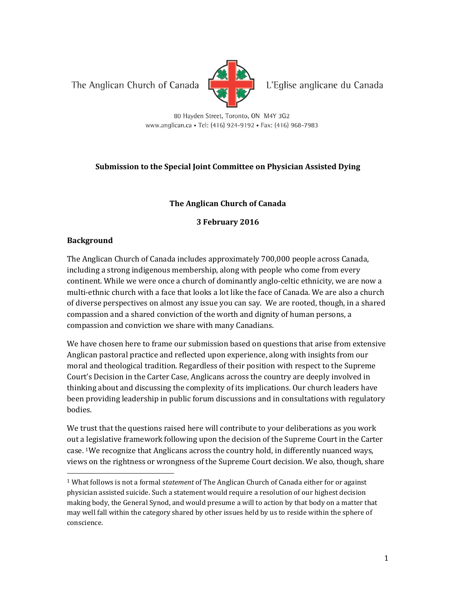The Anglican Church of Canada



L'Eglise anglicane du Canada

80 Hayden Street, Toronto, ON M4Y 3G2 www.anglican.ca • Tel: (416) 924-9192 • Fax: (416) 968-7983

# **Submission to the Special Joint Committee on Physician Assisted Dying**

### **The Anglican Church of Canada**

**3 February 2016**

### **Background**

 $\overline{\phantom{0}}$ 

The Anglican Church of Canada includes approximately 700,000 people across Canada, including a strong indigenous membership, along with people who come from every continent. While we were once a church of dominantly anglo-celtic ethnicity, we are now a multi-ethnic church with a face that looks a lot like the face of Canada. We are also a church of diverse perspectives on almost any issue you can say. We are rooted, though, in a shared compassion and a shared conviction of the worth and dignity of human persons, a compassion and conviction we share with many Canadians.

We have chosen here to frame our submission based on questions that arise from extensive Anglican pastoral practice and reflected upon experience, along with insights from our moral and theological tradition. Regardless of their position with respect to the Supreme Court's Decision in the Carter Case, Anglicans across the country are deeply involved in thinking about and discussing the complexity of its implications. Our church leaders have been providing leadership in public forum discussions and in consultations with regulatory bodies.

We trust that the questions raised here will contribute to your deliberations as you work out a legislative framework following upon the decision of the Supreme Court in the Carter case. 1We recognize that Anglicans across the country hold, in differently nuanced ways, views on the rightness or wrongness of the Supreme Court decision. We also, though, share

<sup>1</sup> What follows is not a formal s*tatement* of The Anglican Church of Canada either for or against physician assisted suicide. Such a statement would require a resolution of our highest decision making body, the General Synod, and would presume a will to action by that body on a matter that may well fall within the category shared by other issues held by us to reside within the sphere of conscience.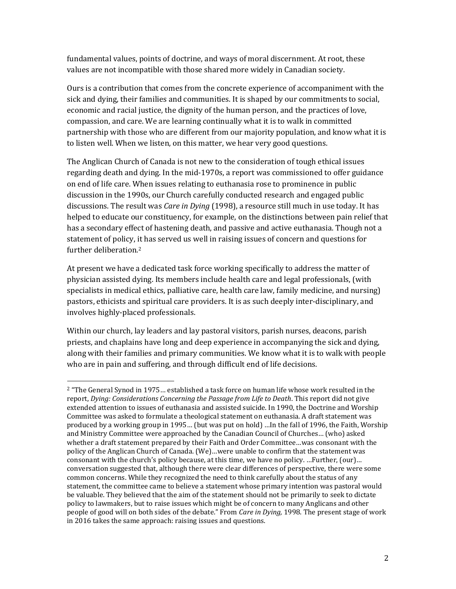fundamental values, points of doctrine, and ways of moral discernment. At root, these values are not incompatible with those shared more widely in Canadian society.

Ours is a contribution that comes from the concrete experience of accompaniment with the sick and dying, their families and communities. It is shaped by our commitments to social, economic and racial justice, the dignity of the human person, and the practices of love, compassion, and care. We are learning continually what it is to walk in committed partnership with those who are different from our majority population, and know what it is to listen well. When we listen, on this matter, we hear very good questions.

The Anglican Church of Canada is not new to the consideration of tough ethical issues regarding death and dying. In the mid-1970s, a report was commissioned to offer guidance on end of life care. When issues relating to euthanasia rose to prominence in public discussion in the 1990s, our Church carefully conducted research and engaged public discussions. The result was *Care in Dying* (1998), a resource still much in use today. It has helped to educate our constituency, for example, on the distinctions between pain relief that has a secondary effect of hastening death, and passive and active euthanasia. Though not a statement of policy, it has served us well in raising issues of concern and questions for further deliberation. 2

At present we have a dedicated task force working specifically to address the matter of physician assisted dying. Its members include health care and legal professionals, (with specialists in medical ethics, palliative care, health care law, family medicine, and nursing) pastors, ethicists and spiritual care providers. It is as such deeply inter-disciplinary, and involves highly-placed professionals.

Within our church, lay leaders and lay pastoral visitors, parish nurses, deacons, parish priests, and chaplains have long and deep experience in accompanying the sick and dying, along with their families and primary communities. We know what it is to walk with people who are in pain and suffering, and through difficult end of life decisions.

l

<sup>2</sup> "The General Synod in 1975… established a task force on human life whose work resulted in the report, *Dying: Considerations Concerning the Passage from Life to Death*. This report did not give extended attention to issues of euthanasia and assisted suicide. In 1990, the Doctrine and Worship Committee was asked to formulate a theological statement on euthanasia. A draft statement was produced by a working group in 1995… (but was put on hold) …In the fall of 1996, the Faith, Worship and Ministry Committee were approached by the Canadian Council of Churches… (who) asked whether a draft statement prepared by their Faith and Order Committee…was consonant with the policy of the Anglican Church of Canada. (We)…were unable to confirm that the statement was consonant with the church's policy because, at this time, we have no policy. …Further, (our)… conversation suggested that, although there were clear differences of perspective, there were some common concerns. While they recognized the need to think carefully about the status of any statement, the committee came to believe a statement whose primary intention was pastoral would be valuable. They believed that the aim of the statement should not be primarily to seek to dictate policy to lawmakers, but to raise issues which might be of concern to many Anglicans and other people of good will on both sides of the debate." From *Care in Dying,* 1998. The present stage of work in 2016 takes the same approach: raising issues and questions.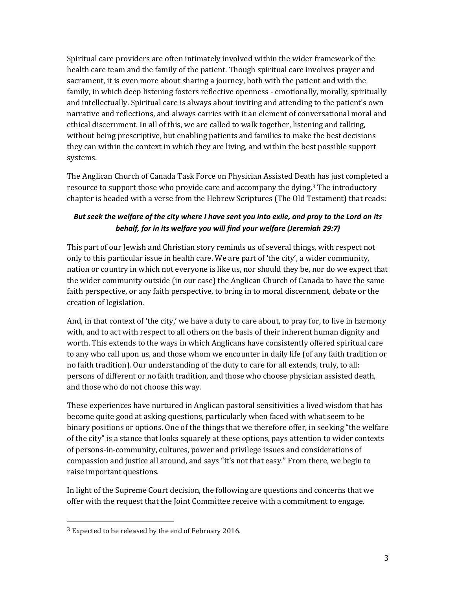Spiritual care providers are often intimately involved within the wider framework of the health care team and the family of the patient. Though spiritual care involves prayer and sacrament, it is even more about sharing a journey, both with the patient and with the family, in which deep listening fosters reflective openness - emotionally, morally, spiritually and intellectually. Spiritual care is always about inviting and attending to the patient's own narrative and reflections, and always carries with it an element of conversational moral and ethical discernment. In all of this, we are called to walk together, listening and talking, without being prescriptive, but enabling patients and families to make the best decisions they can within the context in which they are living, and within the best possible support systems.

The Anglican Church of Canada Task Force on Physician Assisted Death has just completed a resource to support those who provide care and accompany the dying.<sup>3</sup> The introductory chapter is headed with a verse from the Hebrew Scriptures (The Old Testament) that reads:

# *But seek the welfare of the city where I have sent you into exile, and pray to the Lord on its behalf, for in its welfare you will find your welfare (Jeremiah 29:7)*

This part of our Jewish and Christian story reminds us of several things, with respect not only to this particular issue in health care. We are part of 'the city', a wider community, nation or country in which not everyone is like us, nor should they be, nor do we expect that the wider community outside (in our case) the Anglican Church of Canada to have the same faith perspective, or any faith perspective, to bring in to moral discernment, debate or the creation of legislation.

And, in that context of 'the city,' we have a duty to care about, to pray for, to live in harmony with, and to act with respect to all others on the basis of their inherent human dignity and worth. This extends to the ways in which Anglicans have consistently offered spiritual care to any who call upon us, and those whom we encounter in daily life (of any faith tradition or no faith tradition). Our understanding of the duty to care for all extends, truly, to all: persons of different or no faith tradition, and those who choose physician assisted death, and those who do not choose this way.

These experiences have nurtured in Anglican pastoral sensitivities a lived wisdom that has become quite good at asking questions, particularly when faced with what seem to be binary positions or options. One of the things that we therefore offer, in seeking "the welfare of the city" is a stance that looks squarely at these options, pays attention to wider contexts of persons-in-community, cultures, power and privilege issues and considerations of compassion and justice all around, and says "it's not that easy." From there, we begin to raise important questions.

In light of the Supreme Court decision, the following are questions and concerns that we offer with the request that the Joint Committee receive with a commitment to engage.

 $\overline{\phantom{0}}$ 

 $3$  Expected to be released by the end of February 2016.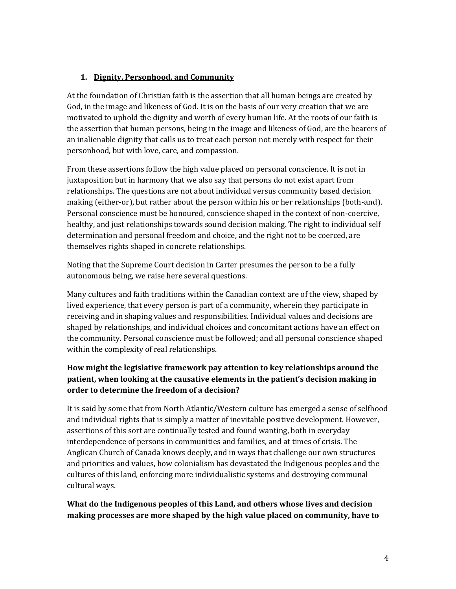#### **1. Dignity, Personhood, and Community**

At the foundation of Christian faith is the assertion that all human beings are created by God, in the image and likeness of God. It is on the basis of our very creation that we are motivated to uphold the dignity and worth of every human life. At the roots of our faith is the assertion that human persons, being in the image and likeness of God, are the bearers of an inalienable dignity that calls us to treat each person not merely with respect for their personhood, but with love, care, and compassion.

From these assertions follow the high value placed on personal conscience. It is not in juxtaposition but in harmony that we also say that persons do not exist apart from relationships. The questions are not about individual versus community based decision making (either-or), but rather about the person within his or her relationships (both-and). Personal conscience must be honoured, conscience shaped in the context of non-coercive, healthy, and just relationships towards sound decision making. The right to individual self determination and personal freedom and choice, and the right not to be coerced, are themselves rights shaped in concrete relationships.

Noting that the Supreme Court decision in Carter presumes the person to be a fully autonomous being, we raise here several questions.

Many cultures and faith traditions within the Canadian context are of the view, shaped by lived experience, that every person is part of a community, wherein they participate in receiving and in shaping values and responsibilities. Individual values and decisions are shaped by relationships, and individual choices and concomitant actions have an effect on the community. Personal conscience must be followed; and all personal conscience shaped within the complexity of real relationships.

# **How might the legislative framework pay attention to key relationships around the patient, when looking at the causative elements in the patient's decision making in order to determine the freedom of a decision?**

It is said by some that from North Atlantic/Western culture has emerged a sense of selfhood and individual rights that is simply a matter of inevitable positive development. However, assertions of this sort are continually tested and found wanting, both in everyday interdependence of persons in communities and families, and at times of crisis. The Anglican Church of Canada knows deeply, and in ways that challenge our own structures and priorities and values, how colonialism has devastated the Indigenous peoples and the cultures of this land, enforcing more individualistic systems and destroying communal cultural ways.

### **What do the Indigenous peoples of this Land, and others whose lives and decision making processes are more shaped by the high value placed on community, have to**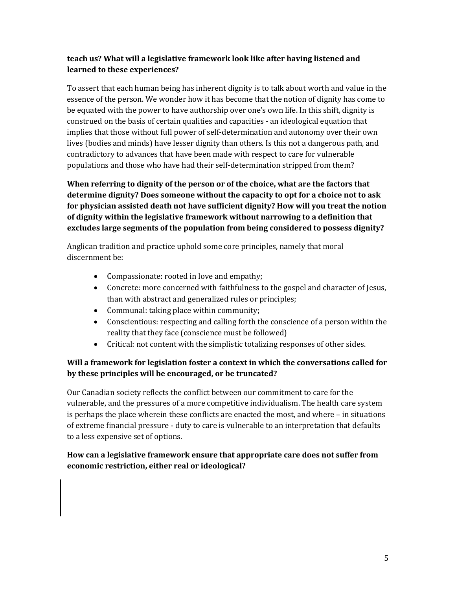# **teach us? What will a legislative framework look like after having listened and learned to these experiences?**

To assert that each human being has inherent dignity is to talk about worth and value in the essence of the person. We wonder how it has become that the notion of dignity has come to be equated with the power to have authorship over one's own life. In this shift, dignity is construed on the basis of certain qualities and capacities - an ideological equation that implies that those without full power of self-determination and autonomy over their own lives (bodies and minds) have lesser dignity than others. Is this not a dangerous path, and contradictory to advances that have been made with respect to care for vulnerable populations and those who have had their self-determination stripped from them?

**When referring to dignity of the person or of the choice, what are the factors that determine dignity? Does someone without the capacity to opt for a choice not to ask for physician assisted death not have sufficient dignity? How will you treat the notion of dignity within the legislative framework without narrowing to a definition that excludes large segments of the population from being considered to possess dignity?** 

Anglican tradition and practice uphold some core principles, namely that moral discernment be:

- Compassionate: rooted in love and empathy;
- Concrete: more concerned with faithfulness to the gospel and character of Jesus, than with abstract and generalized rules or principles;
- Communal: taking place within community;
- Conscientious: respecting and calling forth the conscience of a person within the reality that they face (conscience must be followed)
- Critical: not content with the simplistic totalizing responses of other sides.

# **Will a framework for legislation foster a context in which the conversations called for by these principles will be encouraged, or be truncated?**

Our Canadian society reflects the conflict between our commitment to care for the vulnerable, and the pressures of a more competitive individualism. The health care system is perhaps the place wherein these conflicts are enacted the most, and where – in situations of extreme financial pressure - duty to care is vulnerable to an interpretation that defaults to a less expensive set of options.

# **How can a legislative framework ensure that appropriate care does not suffer from economic restriction, either real or ideological?**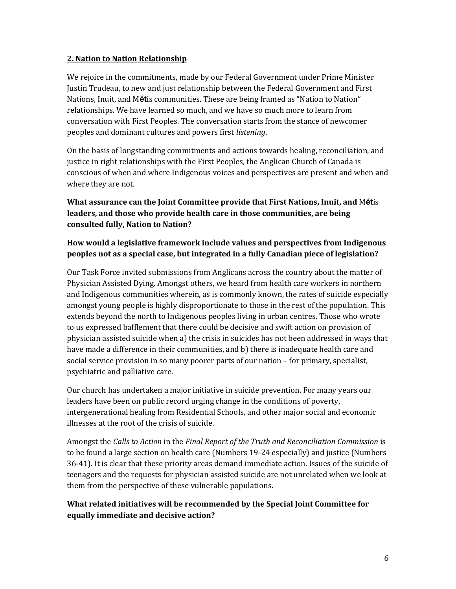#### **2. Nation to Nation Relationship**

We rejoice in the commitments, made by our Federal Government under Prime Minister Justin Trudeau, to new and just relationship between the Federal Government and First Nations, Inuit, and M**ét**is communities. These are being framed as "Nation to Nation" relationships. We have learned so much, and we have so much more to learn from conversation with First Peoples. The conversation starts from the stance of newcomer peoples and dominant cultures and powers first *listening*.

On the basis of longstanding commitments and actions towards healing, reconciliation, and justice in right relationships with the First Peoples, the Anglican Church of Canada is conscious of when and where Indigenous voices and perspectives are present and when and where they are not.

# **What assurance can the Joint Committee provide that First Nations, Inuit, and** M**ét**is **leaders, and those who provide health care in those communities, are being consulted fully, Nation to Nation?**

### **How would a legislative framework include values and perspectives from Indigenous peoples not as a special case, but integrated in a fully Canadian piece of legislation?**

Our Task Force invited submissions from Anglicans across the country about the matter of Physician Assisted Dying. Amongst others, we heard from health care workers in northern and Indigenous communities wherein, as is commonly known, the rates of suicide especially amongst young people is highly disproportionate to those in the rest of the population. This extends beyond the north to Indigenous peoples living in urban centres. Those who wrote to us expressed bafflement that there could be decisive and swift action on provision of physician assisted suicide when a) the crisis in suicides has not been addressed in ways that have made a difference in their communities, and b) there is inadequate health care and social service provision in so many poorer parts of our nation – for primary, specialist, psychiatric and palliative care.

Our church has undertaken a major initiative in suicide prevention. For many years our leaders have been on public record urging change in the conditions of poverty, intergenerational healing from Residential Schools, and other major social and economic illnesses at the root of the crisis of suicide.

Amongst the *Calls to Action* in the *Final Report of the Truth and Reconciliation Commission* is to be found a large section on health care (Numbers 19-24 especially) and justice (Numbers 36-41). It is clear that these priority areas demand immediate action. Issues of the suicide of teenagers and the requests for physician assisted suicide are not unrelated when we look at them from the perspective of these vulnerable populations.

### **What related initiatives will be recommended by the Special Joint Committee for equally immediate and decisive action?**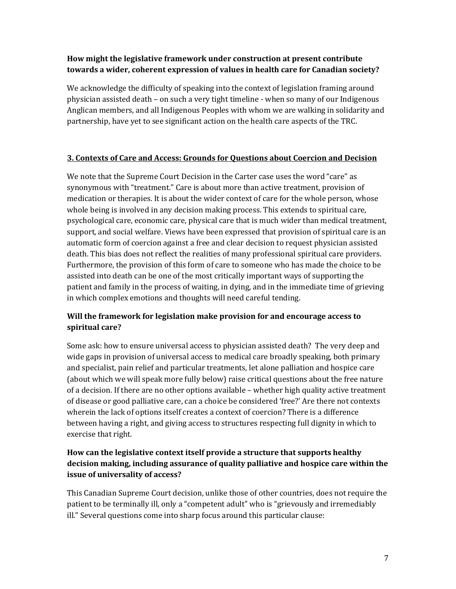# **How might the legislative framework under construction at present contribute towards a wider, coherent expression of values in health care for Canadian society?**

We acknowledge the difficulty of speaking into the context of legislation framing around physician assisted death – on such a very tight timeline - when so many of our Indigenous Anglican members, and all Indigenous Peoples with whom we are walking in solidarity and partnership, have yet to see significant action on the health care aspects of the TRC.

#### **3. Contexts of Care and Access: Grounds for Questions about Coercion and Decision**

We note that the Supreme Court Decision in the Carter case uses the word "care" as synonymous with "treatment." Care is about more than active treatment, provision of medication or therapies. It is about the wider context of care for the whole person, whose whole being is involved in any decision making process. This extends to spiritual care, psychological care, economic care, physical care that is much wider than medical treatment, support, and social welfare. Views have been expressed that provision of spiritual care is an automatic form of coercion against a free and clear decision to request physician assisted death. This bias does not reflect the realities of many professional spiritual care providers. Furthermore, the provision of this form of care to someone who has made the choice to be assisted into death can be one of the most critically important ways of supporting the patient and family in the process of waiting, in dying, and in the immediate time of grieving in which complex emotions and thoughts will need careful tending.

# **Will the framework for legislation make provision for and encourage access to spiritual care?**

Some ask: how to ensure universal access to physician assisted death? The very deep and wide gaps in provision of universal access to medical care broadly speaking, both primary and specialist, pain relief and particular treatments, let alone palliation and hospice care (about which we will speak more fully below) raise critical questions about the free nature of a decision. If there are no other options available – whether high quality active treatment of disease or good palliative care, can a choice be considered 'free?' Are there not contexts wherein the lack of options itself creates a context of coercion? There is a difference between having a right, and giving access to structures respecting full dignity in which to exercise that right.

# **How can the legislative context itself provide a structure that supports healthy decision making, including assurance of quality palliative and hospice care within the issue of universality of access?**

This Canadian Supreme Court decision, unlike those of other countries, does not require the patient to be terminally ill, only a "competent adult" who is "grievously and irremediably ill." Several questions come into sharp focus around this particular clause: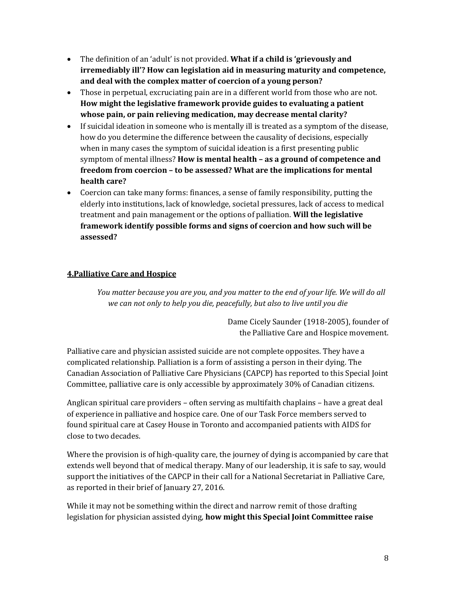- The definition of an 'adult' is not provided. **What if a child is 'grievously and irremediably ill'? How can legislation aid in measuring maturity and competence, and deal with the complex matter of coercion of a young person?**
- Those in perpetual, excruciating pain are in a different world from those who are not. **How might the legislative framework provide guides to evaluating a patient whose pain, or pain relieving medication, may decrease mental clarity?**
- If suicidal ideation in someone who is mentally ill is treated as a symptom of the disease, how do you determine the difference between the causality of decisions, especially when in many cases the symptom of suicidal ideation is a first presenting public symptom of mental illness? **How is mental health – as a ground of competence and freedom from coercion – to be assessed? What are the implications for mental health care?**
- Coercion can take many forms: finances, a sense of family responsibility, putting the elderly into institutions, lack of knowledge, societal pressures, lack of access to medical treatment and pain management or the options of palliation. **Will the legislative framework identify possible forms and signs of coercion and how such will be assessed?**

### **4.Palliative Care and Hospice**

*You matter because you are you, and you matter to the end of your life. We will do all we can not only to help you die, peacefully, but also to live until you die*

> Dame Cicely Saunder (1918-2005), founder of the Palliative Care and Hospice movement.

Palliative care and physician assisted suicide are not complete opposites. They have a complicated relationship. Palliation is a form of assisting a person in their dying. The Canadian Association of Palliative Care Physicians (CAPCP) has reported to this Special Joint Committee, palliative care is only accessible by approximately 30% of Canadian citizens.

Anglican spiritual care providers – often serving as multifaith chaplains – have a great deal of experience in palliative and hospice care. One of our Task Force members served to found spiritual care at Casey House in Toronto and accompanied patients with AIDS for close to two decades.

Where the provision is of high-quality care, the journey of dying is accompanied by care that extends well beyond that of medical therapy. Many of our leadership, it is safe to say, would support the initiatives of the CAPCP in their call for a National Secretariat in Palliative Care, as reported in their brief of January 27, 2016.

While it may not be something within the direct and narrow remit of those drafting legislation for physician assisted dying, **how might this Special Joint Committee raise**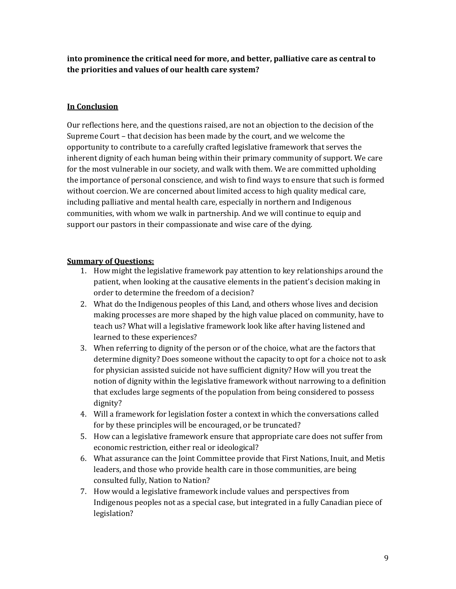**into prominence the critical need for more, and better, palliative care as central to the priorities and values of our health care system?**

### **In Conclusion**

Our reflections here, and the questions raised, are not an objection to the decision of the Supreme Court – that decision has been made by the court, and we welcome the opportunity to contribute to a carefully crafted legislative framework that serves the inherent dignity of each human being within their primary community of support. We care for the most vulnerable in our society, and walk with them. We are committed upholding the importance of personal conscience, and wish to find ways to ensure that such is formed without coercion. We are concerned about limited access to high quality medical care, including palliative and mental health care, especially in northern and Indigenous communities, with whom we walk in partnership. And we will continue to equip and support our pastors in their compassionate and wise care of the dying.

#### **Summary of Questions:**

- 1. How might the legislative framework pay attention to key relationships around the patient, when looking at the causative elements in the patient's decision making in order to determine the freedom of a decision?
- 2. What do the Indigenous peoples of this Land, and others whose lives and decision making processes are more shaped by the high value placed on community, have to teach us? What will a legislative framework look like after having listened and learned to these experiences?
- 3. When referring to dignity of the person or of the choice, what are the factors that determine dignity? Does someone without the capacity to opt for a choice not to ask for physician assisted suicide not have sufficient dignity? How will you treat the notion of dignity within the legislative framework without narrowing to a definition that excludes large segments of the population from being considered to possess dignity?
- 4. Will a framework for legislation foster a context in which the conversations called for by these principles will be encouraged, or be truncated?
- 5. How can a legislative framework ensure that appropriate care does not suffer from economic restriction, either real or ideological?
- 6. What assurance can the Joint Committee provide that First Nations, Inuit, and Metis leaders, and those who provide health care in those communities, are being consulted fully, Nation to Nation?
- 7. How would a legislative framework include values and perspectives from Indigenous peoples not as a special case, but integrated in a fully Canadian piece of legislation?